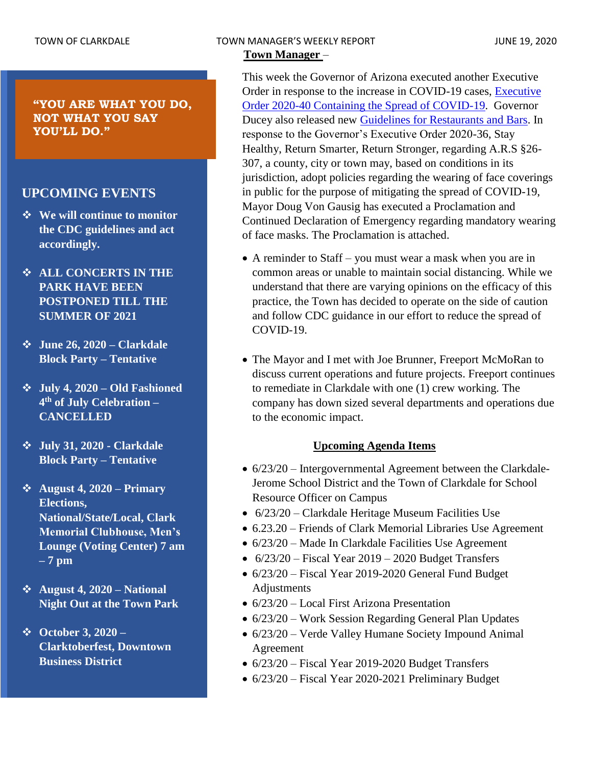**"YOU ARE WHAT YOU DO, NOT WHAT YOU SAY YOU'LL DO."**

### **UPCOMING EVENTS**

- ❖ **We will continue to monitor the CDC guidelines and act accordingly.**
- ❖ **ALL CONCERTS IN THE PARK HAVE BEEN POSTPONED TILL THE SUMMER OF 2021**
- ❖ **June 26, 2020 – Clarkdale Block Party – Tentative**
- ❖ **July 4, 2020 – Old Fashioned 4 th of July Celebration – CANCELLED**
- ❖ **July 31, 2020 - Clarkdale Block Party – Tentative**
- ❖ **August 4, 2020 – Primary Elections, National/State/Local, Clark Memorial Clubhouse, Men's Lounge (Voting Center) 7 am – 7 pm**
- ❖ **August 4, 2020 – National Night Out at the Town Park**
- ❖ **October 3, 2020 – Clarktoberfest, Downtown Business District**

This week the Governor of Arizona executed another Executive Order in response to the increase in COVID-19 cases, [Executive](https://azgovernor.gov/sites/default/files/eo_2020-40.pdf)  [Order 2020-40 Containing the Spread of COVID-19.](https://azgovernor.gov/sites/default/files/eo_2020-40.pdf) Governor Ducey also released new **Guidelines for Restaurants and Bars.** In response to the Governor's Executive Order 2020-36, Stay Healthy, Return Smarter, Return Stronger, regarding A.R.S §26- 307, a county, city or town may, based on conditions in its jurisdiction, adopt policies regarding the wearing of face coverings in public for the purpose of mitigating the spread of COVID-19, Mayor Doug Von Gausig has executed a Proclamation and Continued Declaration of Emergency regarding mandatory wearing of face masks. The Proclamation is attached.

- A reminder to Staff you must wear a mask when you are in common areas or unable to maintain social distancing. While we understand that there are varying opinions on the efficacy of this practice, the Town has decided to operate on the side of caution and follow CDC guidance in our effort to reduce the spread of COVID-19.
- The Mayor and I met with Joe Brunner, Freeport McMoRan to discuss current operations and future projects. Freeport continues to remediate in Clarkdale with one (1) crew working. The company has down sized several departments and operations due to the economic impact.

### **Upcoming Agenda Items**

- 6/23/20 Intergovernmental Agreement between the Clarkdale-Jerome School District and the Town of Clarkdale for School Resource Officer on Campus
- 6/23/20 Clarkdale Heritage Museum Facilities Use
- 6.23.20 Friends of Clark Memorial Libraries Use Agreement
- 6/23/20 Made In Clarkdale Facilities Use Agreement
- $6/23/20$  Fiscal Year 2019 2020 Budget Transfers
- 6/23/20 Fiscal Year 2019-2020 General Fund Budget Adjustments
- 6/23/20 Local First Arizona Presentation
- 6/23/20 Work Session Regarding General Plan Updates
- 6/23/20 Verde Valley Humane Society Impound Animal Agreement
- 6/23/20 Fiscal Year 2019-2020 Budget Transfers
- 6/23/20 Fiscal Year 2020-2021 Preliminary Budget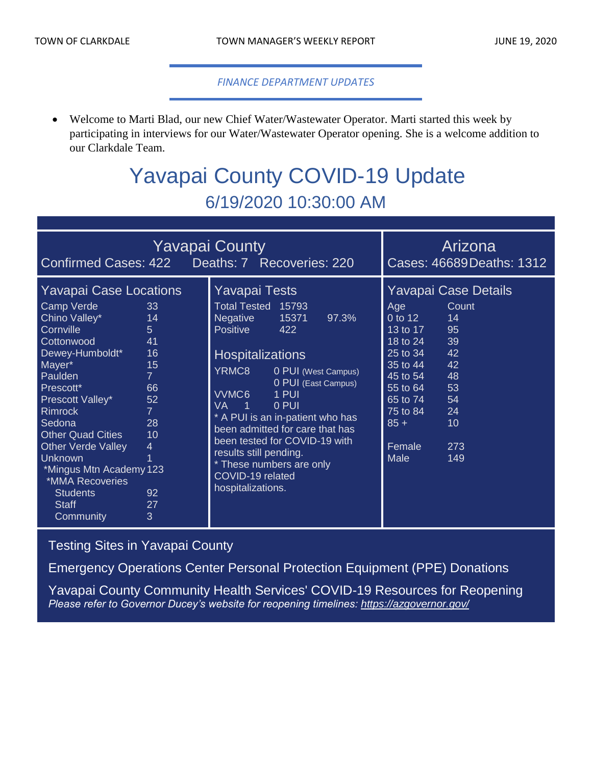#### *FINANCE DEPARTMENT UPDATES*

• Welcome to Marti Blad, our new Chief Water/Wastewater Operator. Marti started this week by participating in interviews for our Water/Wastewater Operator opening. She is a welcome addition to our Clarkdale Team.

# Yavapai County COVID-19 Update 6/19/2020 10:30:00 AM

| <b>Yavapai County</b>                                                                                                                                                                                                                                                                                                                                                                                                                                                                                                |                                                                                                                                                                                                                                                                                                                                                                                                                                            | Arizona                                                                                                                                                                                                                                                                                               |
|----------------------------------------------------------------------------------------------------------------------------------------------------------------------------------------------------------------------------------------------------------------------------------------------------------------------------------------------------------------------------------------------------------------------------------------------------------------------------------------------------------------------|--------------------------------------------------------------------------------------------------------------------------------------------------------------------------------------------------------------------------------------------------------------------------------------------------------------------------------------------------------------------------------------------------------------------------------------------|-------------------------------------------------------------------------------------------------------------------------------------------------------------------------------------------------------------------------------------------------------------------------------------------------------|
| Confirmed Cases: 422 Deaths: 7 Recoveries: 220                                                                                                                                                                                                                                                                                                                                                                                                                                                                       |                                                                                                                                                                                                                                                                                                                                                                                                                                            | Cases: 46689 Deaths: 1312                                                                                                                                                                                                                                                                             |
| <b>Yavapai Case Locations</b><br>Camp Verde<br>33<br>Chino Valley*<br>14<br>Cornville<br>5 <sup>5</sup><br>41<br>Cottonwood<br>16<br>Dewey-Humboldt*<br>Mayer*<br>15<br>Paulden<br>$\overline{7}$<br>Prescott*<br>66<br>Prescott Valley*<br>52<br><b>Rimrock</b><br>$\overline{7}$<br>28<br>Sedona<br><b>Other Quad Cities</b><br>10<br><b>Other Verde Valley</b><br>$\overline{4}$<br><b>Unknown</b><br>*Mingus Mtn Academy 123<br>*MMA Recoveries<br>92<br><b>Students</b><br>27<br><b>Staff</b><br>3<br>Community | <b>Yavapai Tests</b><br>Total Tested 15793<br>15371<br>97.3%<br>Negative<br><b>Positive</b><br>422<br><b>Hospitalizations</b><br>YRMC8<br>0 PUI (West Campus)<br>0 PUI (East Campus)<br>VVMC6<br>1 PUI<br><b>VA</b><br>0 PUI<br>- 1<br>* A PUI is an in-patient who has<br>been admitted for care that has<br>been tested for COVID-19 with<br>results still pending.<br>* These numbers are only<br>COVID-19 related<br>hospitalizations. | <b>Yavapai Case Details</b><br>Count<br>Age<br>$0$ to $12$<br>14<br>95<br>13 to 17<br>39<br>18 to 24<br>42<br>25 to 34<br>42<br>35 to 44<br>48<br>45 to 54<br>$\overline{55}$ to $\overline{64}$<br>53<br>$65$ to $74$<br>54<br>75 to 84<br>24<br>$85 +$<br>10<br>273<br>Female<br><b>Male</b><br>149 |

## [Testing Sites in Yavapai County](https://www.yavapai.us/Portals/39/COVID-19/TestingSitesinYavapaiCounty.pdf)

[Emergency Operations Center Personal Protection Equipment \(PPE\) Donations](http://www.yavapai.us/Portals/39/PPE%20Donations.pdf)

[Yavapai County Community Health Services' COVID-19 Resources for Reopening](https://www.yavapai.us/chs/COVID-19) *Please refer to Governor Ducey's website for reopening timelines: <https://azgovernor.gov/>*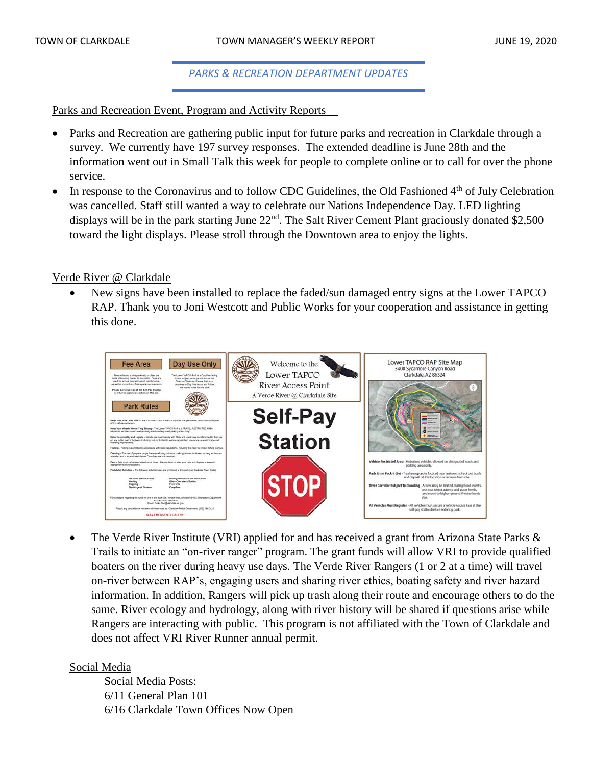#### *PARKS & RECREATION DEPARTMENT UPDATES*

Parks and Recreation Event, Program and Activity Reports –

- Parks and Recreation are gathering public input for future parks and recreation in Clarkdale through a survey. We currently have 197 survey responses. The extended deadline is June 28th and the information went out in Small Talk this week for people to complete online or to call for over the phone service.
- In response to the Coronavirus and to follow CDC Guidelines, the Old Fashioned 4<sup>th</sup> of July Celebration was cancelled. Staff still wanted a way to celebrate our Nations Independence Day. LED lighting displays will be in the park starting June 22<sup>nd</sup>. The Salt River Cement Plant graciously donated \$2,500 toward the light displays. Please stroll through the Downtown area to enjoy the lights.

#### Verde River @ Clarkdale –

• New signs have been installed to replace the faded/sun damaged entry signs at the Lower TAPCO RAP. Thank you to Joni Westcott and Public Works for your cooperation and assistance in getting this done.



The Verde River Institute (VRI) applied for and has received a grant from Arizona State Parks & Trails to initiate an "on-river ranger" program. The grant funds will allow VRI to provide qualified boaters on the river during heavy use days. The Verde River Rangers (1 or 2 at a time) will travel on-river between RAP's, engaging users and sharing river ethics, boating safety and river hazard information. In addition, Rangers will pick up trash along their route and encourage others to do the same. River ecology and hydrology, along with river history will be shared if questions arise while Rangers are interacting with public. This program is not affiliated with the Town of Clarkdale and does not affect VRI River Runner annual permit.

### Social Media –

Social Media Posts: 6/11 General Plan 101 6/16 Clarkdale Town Offices Now Open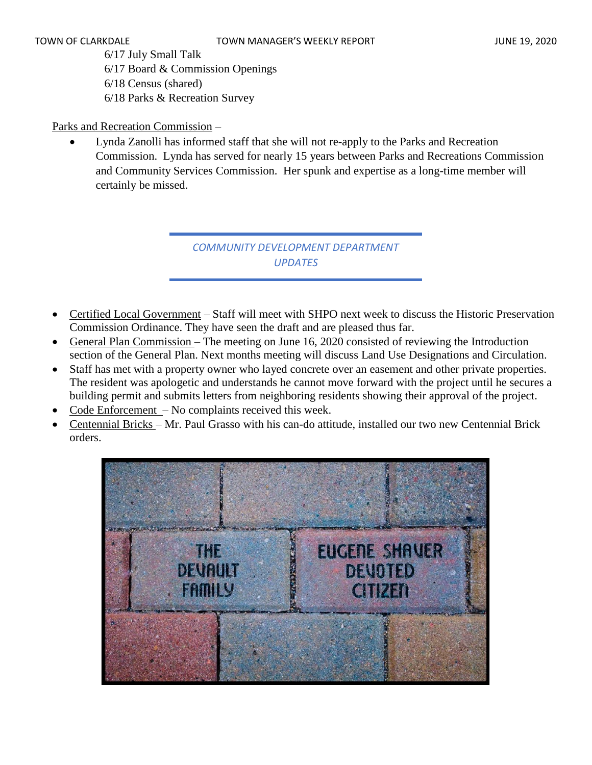6/17 July Small Talk 6/17 Board & Commission Openings 6/18 Census (shared) 6/18 Parks & Recreation Survey

### Parks and Recreation Commission –

• Lynda Zanolli has informed staff that she will not re-apply to the Parks and Recreation Commission. Lynda has served for nearly 15 years between Parks and Recreations Commission and Community Services Commission. Her spunk and expertise as a long-time member will certainly be missed.

> *COMMUNITY DEVELOPMENT DEPARTMENT UPDATES*

- Certified Local Government Staff will meet with SHPO next week to discuss the Historic Preservation Commission Ordinance. They have seen the draft and are pleased thus far.
- General Plan Commission The meeting on June 16, 2020 consisted of reviewing the Introduction section of the General Plan. Next months meeting will discuss Land Use Designations and Circulation.
- Staff has met with a property owner who layed concrete over an easement and other private properties. The resident was apologetic and understands he cannot move forward with the project until he secures a building permit and submits letters from neighboring residents showing their approval of the project.
- Code Enforcement No complaints received this week.
- Centennial Bricks Mr. Paul Grasso with his can-do attitude, installed our two new Centennial Brick orders.

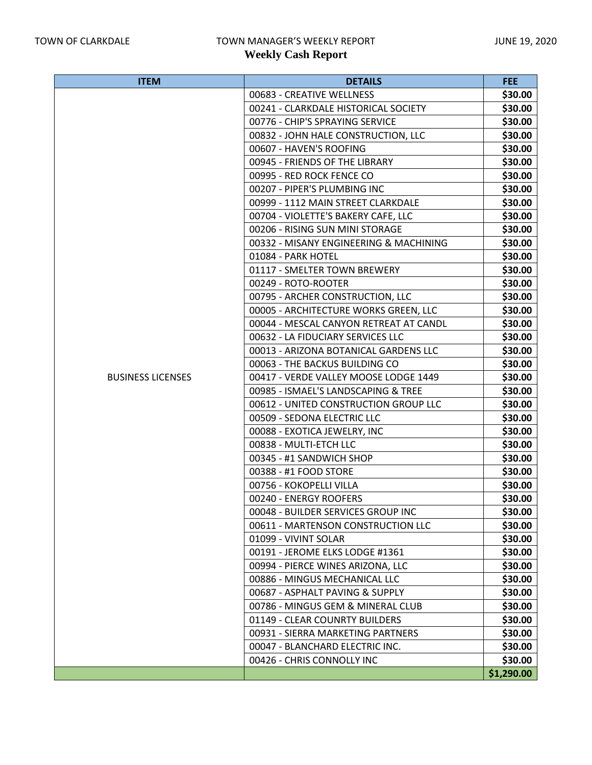| <b>ITEM</b>              | <b>DETAILS</b>                         | FEE:       |
|--------------------------|----------------------------------------|------------|
|                          | 00683 - CREATIVE WELLNESS              | \$30.00    |
|                          | 00241 - CLARKDALE HISTORICAL SOCIETY   | \$30.00    |
|                          | 00776 - CHIP'S SPRAYING SERVICE        | \$30.00    |
|                          | 00832 - JOHN HALE CONSTRUCTION, LLC    | \$30.00    |
|                          | 00607 - HAVEN'S ROOFING                | \$30.00    |
|                          | 00945 - FRIENDS OF THE LIBRARY         | \$30.00    |
|                          | 00995 - RED ROCK FENCE CO              | \$30.00    |
|                          | 00207 - PIPER'S PLUMBING INC           | \$30.00    |
|                          | 00999 - 1112 MAIN STREET CLARKDALE     | \$30.00    |
|                          | 00704 - VIOLETTE'S BAKERY CAFE, LLC    | \$30.00    |
|                          | 00206 - RISING SUN MINI STORAGE        | \$30.00    |
|                          | 00332 - MISANY ENGINEERING & MACHINING | \$30.00    |
|                          | 01084 - PARK HOTEL                     | \$30.00    |
|                          | 01117 - SMELTER TOWN BREWERY           | \$30.00    |
|                          | 00249 - ROTO-ROOTER                    | \$30.00    |
|                          | 00795 - ARCHER CONSTRUCTION, LLC       | \$30.00    |
|                          | 00005 - ARCHITECTURE WORKS GREEN, LLC  | \$30.00    |
|                          | 00044 - MESCAL CANYON RETREAT AT CANDL | \$30.00    |
|                          | 00632 - LA FIDUCIARY SERVICES LLC      | \$30.00    |
|                          | 00013 - ARIZONA BOTANICAL GARDENS LLC  | \$30.00    |
|                          | 00063 - THE BACKUS BUILDING CO         | \$30.00    |
| <b>BUSINESS LICENSES</b> | 00417 - VERDE VALLEY MOOSE LODGE 1449  | \$30.00    |
|                          | 00985 - ISMAEL'S LANDSCAPING & TREE    | \$30.00    |
|                          | 00612 - UNITED CONSTRUCTION GROUP LLC  | \$30.00    |
|                          | 00509 - SEDONA ELECTRIC LLC            | \$30.00    |
|                          | 00088 - EXOTICA JEWELRY, INC           | \$30.00    |
|                          | 00838 - MULTI-ETCH LLC                 | \$30.00    |
|                          | 00345 - #1 SANDWICH SHOP               | \$30.00    |
|                          | 00388 - #1 FOOD STORE                  | \$30.00    |
|                          | 00756 - KOKOPELLI VILLA                | \$30.00    |
|                          | 00240 - ENERGY ROOFERS                 | \$30.00    |
|                          | 00048 - BUILDER SERVICES GROUP INC     | \$30.00    |
|                          | 00611 - MARTENSON CONSTRUCTION LLC     | \$30.00    |
|                          | 01099 - VIVINT SOLAR                   | \$30.00    |
|                          | 00191 - JEROME ELKS LODGE #1361        | \$30.00    |
|                          | 00994 - PIERCE WINES ARIZONA, LLC      | \$30.00    |
|                          | 00886 - MINGUS MECHANICAL LLC          | \$30.00    |
|                          | 00687 - ASPHALT PAVING & SUPPLY        | \$30.00    |
|                          | 00786 - MINGUS GEM & MINERAL CLUB      | \$30.00    |
|                          | 01149 - CLEAR COUNRTY BUILDERS         | \$30.00    |
|                          | 00931 - SIERRA MARKETING PARTNERS      | \$30.00    |
|                          | 00047 - BLANCHARD ELECTRIC INC.        | \$30.00    |
|                          | 00426 - CHRIS CONNOLLY INC             | \$30.00    |
|                          |                                        | \$1,290.00 |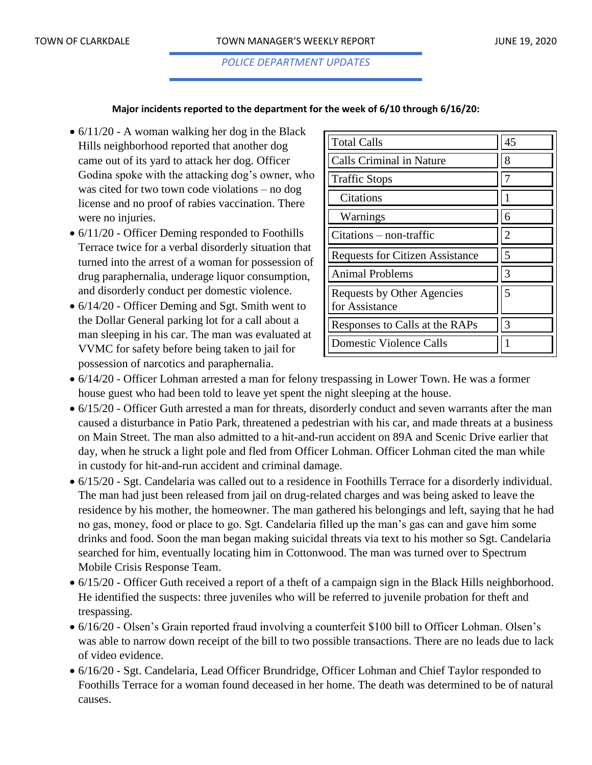*POLICE DEPARTMENT UPDATES*

#### **Major incidents reported to the department for the week of 6/10 through 6/16/20:**

- $6/11/20$  A woman walking her dog in the Black Hills neighborhood reported that another dog came out of its yard to attack her dog. Officer Godina spoke with the attacking dog's owner, who was cited for two town code violations – no dog license and no proof of rabies vaccination. There were no injuries.
- $6/11/20$  Officer Deming responded to Foothills Terrace twice for a verbal disorderly situation that turned into the arrest of a woman for possession of drug paraphernalia, underage liquor consumption, and disorderly conduct per domestic violence.
- $6/14/20$  Officer Deming and Sgt. Smith went to the Dollar General parking lot for a call about a man sleeping in his car. The man was evaluated at VVMC for safety before being taken to jail for possession of narcotics and paraphernalia.

| <b>Total Calls</b>                                  | 45 |
|-----------------------------------------------------|----|
| <b>Calls Criminal in Nature</b>                     | 8  |
| <b>Traffic Stops</b>                                | 7  |
| Citations                                           |    |
| Warnings                                            | 6  |
| $Citations - non-traffic$                           | 2  |
| <b>Requests for Citizen Assistance</b>              | 5  |
| <b>Animal Problems</b>                              | 3  |
| <b>Requests by Other Agencies</b><br>for Assistance | 5  |
| Responses to Calls at the RAPs                      | 3  |
| <b>Domestic Violence Calls</b>                      |    |

- 6/14/20 Officer Lohman arrested a man for felony trespassing in Lower Town. He was a former house guest who had been told to leave yet spent the night sleeping at the house.
- 6/15/20 Officer Guth arrested a man for threats, disorderly conduct and seven warrants after the man caused a disturbance in Patio Park, threatened a pedestrian with his car, and made threats at a business on Main Street. The man also admitted to a hit-and-run accident on 89A and Scenic Drive earlier that day, when he struck a light pole and fled from Officer Lohman. Officer Lohman cited the man while in custody for hit-and-run accident and criminal damage.
- 6/15/20 Sgt. Candelaria was called out to a residence in Foothills Terrace for a disorderly individual. The man had just been released from jail on drug-related charges and was being asked to leave the residence by his mother, the homeowner. The man gathered his belongings and left, saying that he had no gas, money, food or place to go. Sgt. Candelaria filled up the man's gas can and gave him some drinks and food. Soon the man began making suicidal threats via text to his mother so Sgt. Candelaria searched for him, eventually locating him in Cottonwood. The man was turned over to Spectrum Mobile Crisis Response Team.
- 6/15/20 Officer Guth received a report of a theft of a campaign sign in the Black Hills neighborhood. He identified the suspects: three juveniles who will be referred to juvenile probation for theft and trespassing.
- 6/16/20 Olsen's Grain reported fraud involving a counterfeit \$100 bill to Officer Lohman. Olsen's was able to narrow down receipt of the bill to two possible transactions. There are no leads due to lack of video evidence.
- 6/16/20 Sgt. Candelaria, Lead Officer Brundridge, Officer Lohman and Chief Taylor responded to Foothills Terrace for a woman found deceased in her home. The death was determined to be of natural causes.